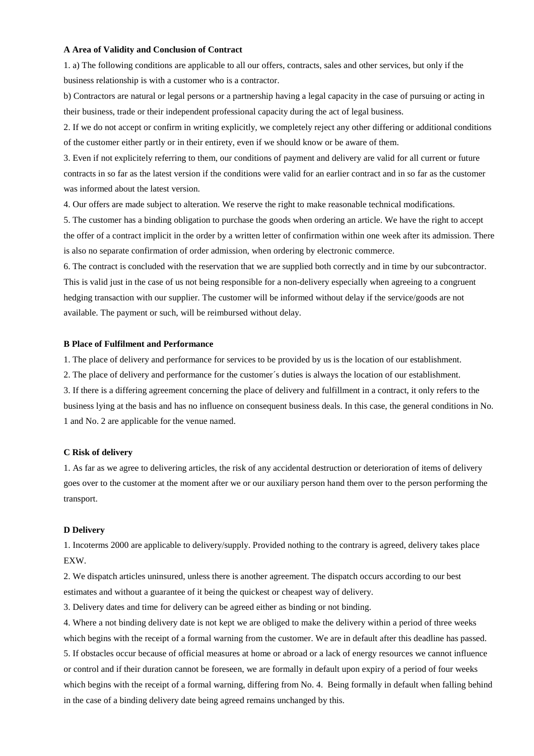### **A Area of Validity and Conclusion of Contract**

1. a) The following conditions are applicable to all our offers, contracts, sales and other services, but only if the business relationship is with a customer who is a contractor.

b) Contractors are natural or legal persons or a partnership having a legal capacity in the case of pursuing or acting in their business, trade or their independent professional capacity during the act of legal business.

2. If we do not accept or confirm in writing explicitly, we completely reject any other differing or additional conditions of the customer either partly or in their entirety, even if we should know or be aware of them.

3. Even if not explicitely referring to them, our conditions of payment and delivery are valid for all current or future contracts in so far as the latest version if the conditions were valid for an earlier contract and in so far as the customer was informed about the latest version.

4. Our offers are made subject to alteration. We reserve the right to make reasonable technical modifications.

5. The customer has a binding obligation to purchase the goods when ordering an article. We have the right to accept the offer of a contract implicit in the order by a written letter of confirmation within one week after its admission. There is also no separate confirmation of order admission, when ordering by electronic commerce.

6. The contract is concluded with the reservation that we are supplied both correctly and in time by our subcontractor. This is valid just in the case of us not being responsible for a non-delivery especially when agreeing to a congruent hedging transaction with our supplier. The customer will be informed without delay if the service/goods are not available. The payment or such, will be reimbursed without delay.

### **B Place of Fulfilment and Performance**

1. The place of delivery and performance for services to be provided by us is the location of our establishment.

2. The place of delivery and performance for the customer´s duties is always the location of our establishment.

3. If there is a differing agreement concerning the place of delivery and fulfillment in a contract, it only refers to the business lying at the basis and has no influence on consequent business deals. In this case, the general conditions in No. 1 and No. 2 are applicable for the venue named.

### **C Risk of delivery**

1. As far as we agree to delivering articles, the risk of any accidental destruction or deterioration of items of delivery goes over to the customer at the moment after we or our auxiliary person hand them over to the person performing the transport.

### **D Delivery**

1. Incoterms 2000 are applicable to delivery/supply. Provided nothing to the contrary is agreed, delivery takes place EXW.

2. We dispatch articles uninsured, unless there is another agreement. The dispatch occurs according to our best estimates and without a guarantee of it being the quickest or cheapest way of delivery.

3. Delivery dates and time for delivery can be agreed either as binding or not binding.

4. Where a not binding delivery date is not kept we are obliged to make the delivery within a period of three weeks which begins with the receipt of a formal warning from the customer. We are in default after this deadline has passed. 5. If obstacles occur because of official measures at home or abroad or a lack of energy resources we cannot influence or control and if their duration cannot be foreseen, we are formally in default upon expiry of a period of four weeks which begins with the receipt of a formal warning, differing from No. 4. Being formally in default when falling behind in the case of a binding delivery date being agreed remains unchanged by this.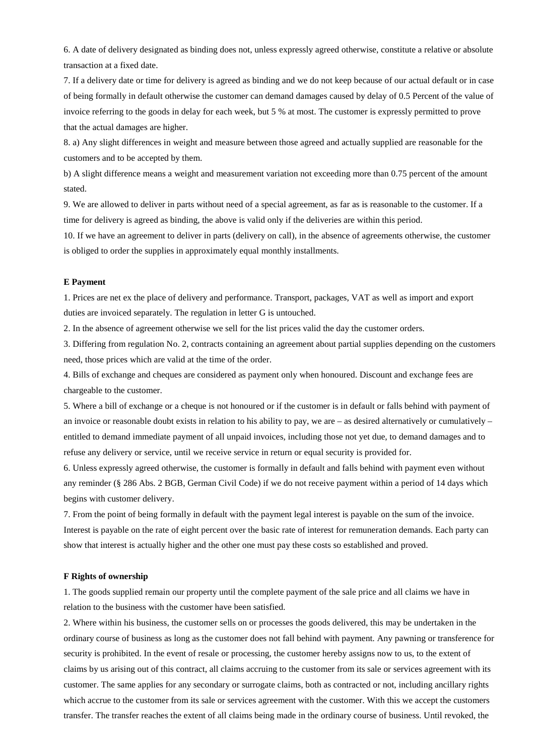6. A date of delivery designated as binding does not, unless expressly agreed otherwise, constitute a relative or absolute transaction at a fixed date.

7. If a delivery date or time for delivery is agreed as binding and we do not keep because of our actual default or in case of being formally in default otherwise the customer can demand damages caused by delay of 0.5 Percent of the value of invoice referring to the goods in delay for each week, but 5 % at most. The customer is expressly permitted to prove that the actual damages are higher.

8. a) Any slight differences in weight and measure between those agreed and actually supplied are reasonable for the customers and to be accepted by them.

b) A slight difference means a weight and measurement variation not exceeding more than 0.75 percent of the amount stated.

9. We are allowed to deliver in parts without need of a special agreement, as far as is reasonable to the customer. If a time for delivery is agreed as binding, the above is valid only if the deliveries are within this period.

10. If we have an agreement to deliver in parts (delivery on call), in the absence of agreements otherwise, the customer is obliged to order the supplies in approximately equal monthly installments.

# **E Payment**

1. Prices are net ex the place of delivery and performance. Transport, packages, VAT as well as import and export duties are invoiced separately. The regulation in letter G is untouched.

2. In the absence of agreement otherwise we sell for the list prices valid the day the customer orders.

3. Differing from regulation No. 2, contracts containing an agreement about partial supplies depending on the customers need, those prices which are valid at the time of the order.

4. Bills of exchange and cheques are considered as payment only when honoured. Discount and exchange fees are chargeable to the customer.

5. Where a bill of exchange or a cheque is not honoured or if the customer is in default or falls behind with payment of an invoice or reasonable doubt exists in relation to his ability to pay, we are – as desired alternatively or cumulatively – entitled to demand immediate payment of all unpaid invoices, including those not yet due, to demand damages and to refuse any delivery or service, until we receive service in return or equal security is provided for.

6. Unless expressly agreed otherwise, the customer is formally in default and falls behind with payment even without any reminder (§ 286 Abs. 2 BGB, German Civil Code) if we do not receive payment within a period of 14 days which begins with customer delivery.

7. From the point of being formally in default with the payment legal interest is payable on the sum of the invoice. Interest is payable on the rate of eight percent over the basic rate of interest for remuneration demands. Each party can show that interest is actually higher and the other one must pay these costs so established and proved.

### **F Rights of ownership**

1. The goods supplied remain our property until the complete payment of the sale price and all claims we have in relation to the business with the customer have been satisfied.

2. Where within his business, the customer sells on or processes the goods delivered, this may be undertaken in the ordinary course of business as long as the customer does not fall behind with payment. Any pawning or transference for security is prohibited. In the event of resale or processing, the customer hereby assigns now to us, to the extent of claims by us arising out of this contract, all claims accruing to the customer from its sale or services agreement with its customer. The same applies for any secondary or surrogate claims, both as contracted or not, including ancillary rights which accrue to the customer from its sale or services agreement with the customer. With this we accept the customers transfer. The transfer reaches the extent of all claims being made in the ordinary course of business. Until revoked, the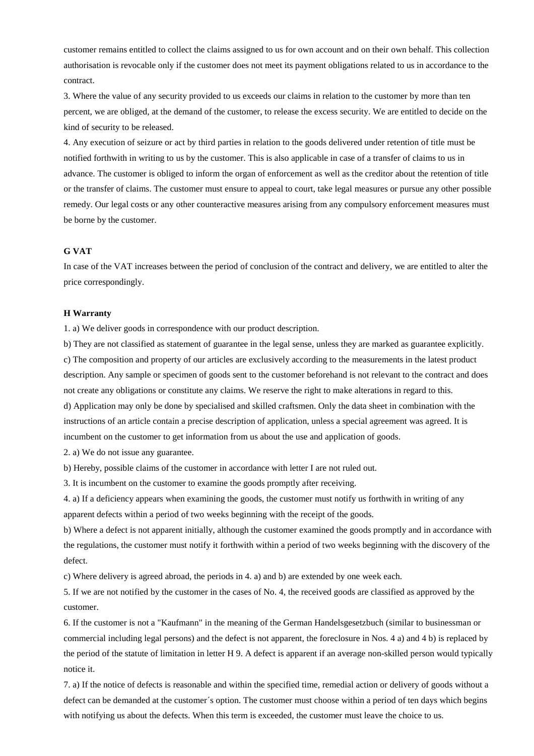customer remains entitled to collect the claims assigned to us for own account and on their own behalf. This collection authorisation is revocable only if the customer does not meet its payment obligations related to us in accordance to the contract.

3. Where the value of any security provided to us exceeds our claims in relation to the customer by more than ten percent, we are obliged, at the demand of the customer, to release the excess security. We are entitled to decide on the kind of security to be released.

4. Any execution of seizure or act by third parties in relation to the goods delivered under retention of title must be notified forthwith in writing to us by the customer. This is also applicable in case of a transfer of claims to us in advance. The customer is obliged to inform the organ of enforcement as well as the creditor about the retention of title or the transfer of claims. The customer must ensure to appeal to court, take legal measures or pursue any other possible remedy. Our legal costs or any other counteractive measures arising from any compulsory enforcement measures must be borne by the customer.

## **G VAT**

In case of the VAT increases between the period of conclusion of the contract and delivery, we are entitled to alter the price correspondingly.

### **H Warranty**

1. a) We deliver goods in correspondence with our product description.

b) They are not classified as statement of guarantee in the legal sense, unless they are marked as guarantee explicitly. c) The composition and property of our articles are exclusively according to the measurements in the latest product description. Any sample or specimen of goods sent to the customer beforehand is not relevant to the contract and does not create any obligations or constitute any claims. We reserve the right to make alterations in regard to this. d) Application may only be done by specialised and skilled craftsmen. Only the data sheet in combination with the instructions of an article contain a precise description of application, unless a special agreement was agreed. It is incumbent on the customer to get information from us about the use and application of goods.

2. a) We do not issue any guarantee.

b) Hereby, possible claims of the customer in accordance with letter I are not ruled out.

3. It is incumbent on the customer to examine the goods promptly after receiving.

4. a) If a deficiency appears when examining the goods, the customer must notify us forthwith in writing of any apparent defects within a period of two weeks beginning with the receipt of the goods.

b) Where a defect is not apparent initially, although the customer examined the goods promptly and in accordance with the regulations, the customer must notify it forthwith within a period of two weeks beginning with the discovery of the defect.

c) Where delivery is agreed abroad, the periods in 4. a) and b) are extended by one week each.

5. If we are not notified by the customer in the cases of No. 4, the received goods are classified as approved by the customer.

6. If the customer is not a "Kaufmann" in the meaning of the German Handelsgesetzbuch (similar to businessman or commercial including legal persons) and the defect is not apparent, the foreclosure in Nos. 4 a) and 4 b) is replaced by the period of the statute of limitation in letter H 9. A defect is apparent if an average non-skilled person would typically notice it.

7. a) If the notice of defects is reasonable and within the specified time, remedial action or delivery of goods without a defect can be demanded at the customer´s option. The customer must choose within a period of ten days which begins with notifying us about the defects. When this term is exceeded, the customer must leave the choice to us.